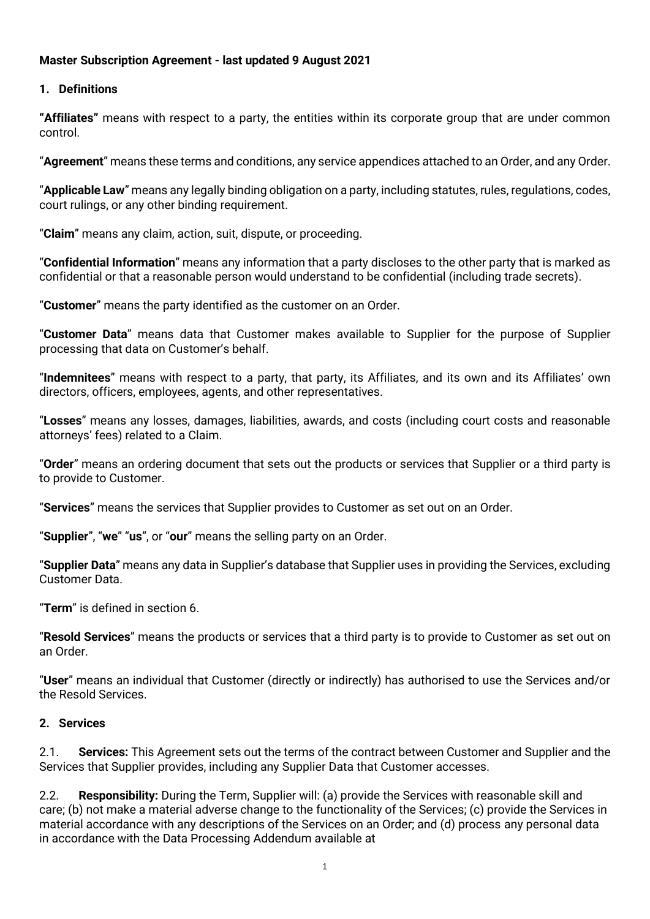### **Master Subscription Agreement - last updated 9 August 2021**

#### **1. Definitions**

**"Affiliates"** means with respect to a party, the entities within its corporate group that are under common control.

"**Agreement**" means these terms and conditions, any service appendices attached to an Order, and any Order.

"**Applicable Law**" means any legally binding obligation on a party, including statutes, rules, regulations, codes, court rulings, or any other binding requirement.

"**Claim**" means any claim, action, suit, dispute, or proceeding.

"**Confidential Information**" means any information that a party discloses to the other party that is marked as confidential or that a reasonable person would understand to be confidential (including trade secrets).

"**Customer**" means the party identified as the customer on an Order.

"**Customer Data**" means data that Customer makes available to Supplier for the purpose of Supplier processing that data on Customer's behalf.

"**Indemnitees**" means with respect to a party, that party, its Affiliates, and its own and its Affiliates' own directors, officers, employees, agents, and other representatives.

"**Losses**" means any losses, damages, liabilities, awards, and costs (including court costs and reasonable attorneys' fees) related to a Claim.

"**Order**" means an ordering document that sets out the products or services that Supplier or a third party is to provide to Customer.

"**Services**" means the services that Supplier provides to Customer as set out on an Order.

"**Supplier**", "**we**" "**us**", or "**our**" means the selling party on an Order.

"**Supplier Data**" means any data in Supplier's database that Supplier uses in providing the Services, excluding Customer Data.

"**Term**" is defined in section 6.

"**Resold Services**" means the products or services that a third party is to provide to Customer as set out on an Order.

"**User**" means an individual that Customer (directly or indirectly) has authorised to use the Services and/or the Resold Services.

#### **2. Services**

2.1. **Services:** This Agreement sets out the terms of the contract between Customer and Supplier and the Services that Supplier provides, including any Supplier Data that Customer accesses.

2.2. **Responsibility:** During the Term, Supplier will: (a) provide the Services with reasonable skill and care; (b) not make a material adverse change to the functionality of the Services; (c) provide the Services in material accordance with any descriptions of the Services on an Order; and (d) process any personal data in accordance with the Data Processing Addendum available at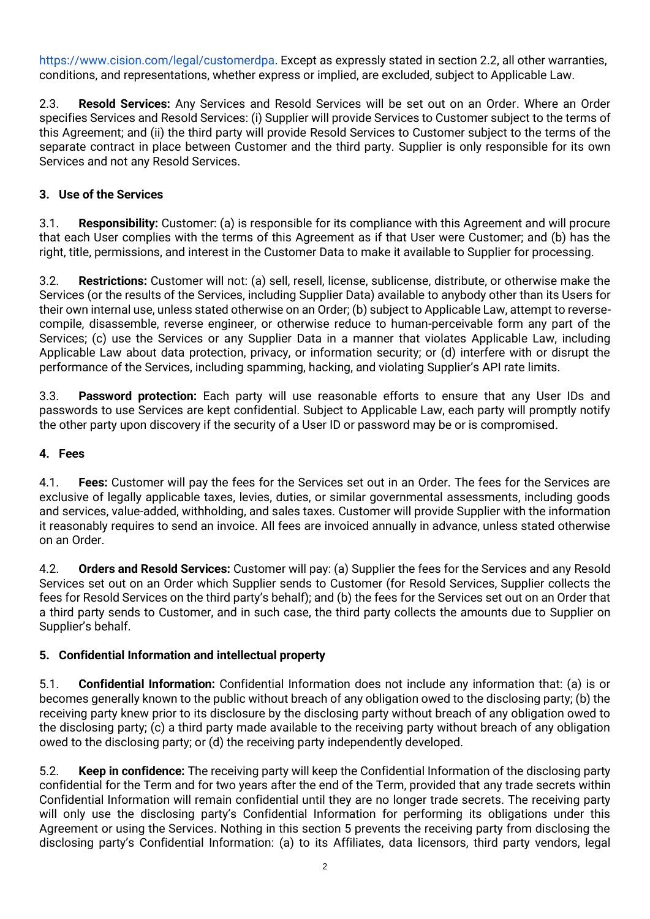[https://www.cision.com/legal/customerdpa.](https://www.cision.com/legal/customerdpa/) Except as expressly stated in section 2.2, all other warranties, conditions, and representations, whether express or implied, are excluded, subject to Applicable Law.

2.3. **Resold Services:** Any Services and Resold Services will be set out on an Order. Where an Order specifies Services and Resold Services: (i) Supplier will provide Services to Customer subject to the terms of this Agreement; and (ii) the third party will provide Resold Services to Customer subject to the terms of the separate contract in place between Customer and the third party. Supplier is only responsible for its own Services and not any Resold Services.

## **3. Use of the Services**

3.1. **Responsibility:** Customer: (a) is responsible for its compliance with this Agreement and will procure that each User complies with the terms of this Agreement as if that User were Customer; and (b) has the right, title, permissions, and interest in the Customer Data to make it available to Supplier for processing.

3.2. **Restrictions:** Customer will not: (a) sell, resell, license, sublicense, distribute, or otherwise make the Services (or the results of the Services, including Supplier Data) available to anybody other than its Users for their own internal use, unless stated otherwise on an Order; (b) subject to Applicable Law, attempt to reversecompile, disassemble, reverse engineer, or otherwise reduce to human-perceivable form any part of the Services; (c) use the Services or any Supplier Data in a manner that violates Applicable Law, including Applicable Law about data protection, privacy, or information security; or (d) interfere with or disrupt the performance of the Services, including spamming, hacking, and violating Supplier's API rate limits.

3.3. **Password protection:** Each party will use reasonable efforts to ensure that any User IDs and passwords to use Services are kept confidential. Subject to Applicable Law, each party will promptly notify the other party upon discovery if the security of a User ID or password may be or is compromised.

### **4. Fees**

4.1. **Fees:** Customer will pay the fees for the Services set out in an Order. The fees for the Services are exclusive of legally applicable taxes, levies, duties, or similar governmental assessments, including goods and services, value-added, withholding, and sales taxes. Customer will provide Supplier with the information it reasonably requires to send an invoice. All fees are invoiced annually in advance, unless stated otherwise on an Order.

4.2. **Orders and Resold Services:** Customer will pay: (a) Supplier the fees for the Services and any Resold Services set out on an Order which Supplier sends to Customer (for Resold Services, Supplier collects the fees for Resold Services on the third party's behalf); and (b) the fees for the Services set out on an Order that a third party sends to Customer, and in such case, the third party collects the amounts due to Supplier on Supplier's behalf.

### **5. Confidential Information and intellectual property**

5.1. **Confidential Information:** Confidential Information does not include any information that: (a) is or becomes generally known to the public without breach of any obligation owed to the disclosing party; (b) the receiving party knew prior to its disclosure by the disclosing party without breach of any obligation owed to the disclosing party; (c) a third party made available to the receiving party without breach of any obligation owed to the disclosing party; or (d) the receiving party independently developed.

5.2. **Keep in confidence:** The receiving party will keep the Confidential Information of the disclosing party confidential for the Term and for two years after the end of the Term, provided that any trade secrets within Confidential Information will remain confidential until they are no longer trade secrets. The receiving party will only use the disclosing party's Confidential Information for performing its obligations under this Agreement or using the Services. Nothing in this section 5 prevents the receiving party from disclosing the disclosing party's Confidential Information: (a) to its Affiliates, data licensors, third party vendors, legal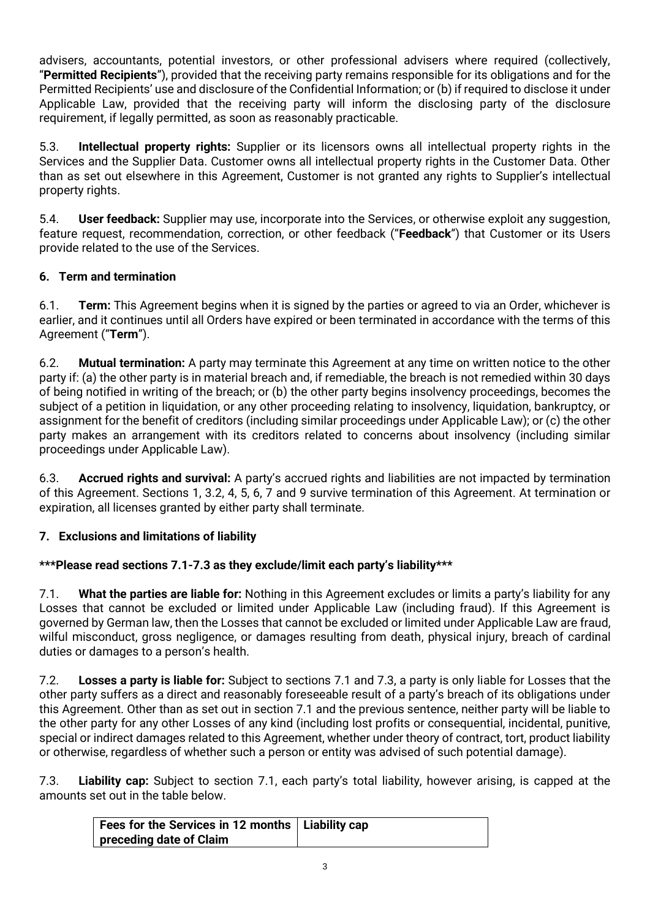advisers, accountants, potential investors, or other professional advisers where required (collectively, "**Permitted Recipients**"), provided that the receiving party remains responsible for its obligations and for the Permitted Recipients' use and disclosure of the Confidential Information; or (b) if required to disclose it under Applicable Law, provided that the receiving party will inform the disclosing party of the disclosure requirement, if legally permitted, as soon as reasonably practicable.

5.3. **Intellectual property rights:** Supplier or its licensors owns all intellectual property rights in the Services and the Supplier Data. Customer owns all intellectual property rights in the Customer Data. Other than as set out elsewhere in this Agreement, Customer is not granted any rights to Supplier's intellectual property rights.

5.4. **User feedback:** Supplier may use, incorporate into the Services, or otherwise exploit any suggestion, feature request, recommendation, correction, or other feedback ("**Feedback**") that Customer or its Users provide related to the use of the Services.

# **6. Term and termination**

6.1. **Term:** This Agreement begins when it is signed by the parties or agreed to via an Order, whichever is earlier, and it continues until all Orders have expired or been terminated in accordance with the terms of this Agreement ("**Term**").

6.2. **Mutual termination:** A party may terminate this Agreement at any time on written notice to the other party if: (a) the other party is in material breach and, if remediable, the breach is not remedied within 30 days of being notified in writing of the breach; or (b) the other party begins insolvency proceedings, becomes the subject of a petition in liquidation, or any other proceeding relating to insolvency, liquidation, bankruptcy, or assignment for the benefit of creditors (including similar proceedings under Applicable Law); or (c) the other party makes an arrangement with its creditors related to concerns about insolvency (including similar proceedings under Applicable Law).

6.3. **Accrued rights and survival:** A party's accrued rights and liabilities are not impacted by termination of this Agreement. Sections 1, 3.2, 4, 5, 6, 7 and 9 survive termination of this Agreement. At termination or expiration, all licenses granted by either party shall terminate.

# **7. Exclusions and limitations of liability**

# **\*\*\*Please read sections 7.1-7.3 as they exclude/limit each party's liability\*\*\***

7.1. **What the parties are liable for:** Nothing in this Agreement excludes or limits a party's liability for any Losses that cannot be excluded or limited under Applicable Law (including fraud). If this Agreement is governed by German law, then the Losses that cannot be excluded or limited under Applicable Law are fraud, wilful misconduct, gross negligence, or damages resulting from death, physical injury, breach of cardinal duties or damages to a person's health.

7.2. **Losses a party is liable for:** Subject to sections 7.1 and 7.3, a party is only liable for Losses that the other party suffers as a direct and reasonably foreseeable result of a party's breach of its obligations under this Agreement. Other than as set out in section 7.1 and the previous sentence, neither party will be liable to the other party for any other Losses of any kind (including lost profits or consequential, incidental, punitive, special or indirect damages related to this Agreement, whether under theory of contract, tort, product liability or otherwise, regardless of whether such a person or entity was advised of such potential damage).

7.3. **Liability cap:** Subject to section 7.1, each party's total liability, however arising, is capped at the amounts set out in the table below.

| Fees for the Services in 12 months   Liability cap |  |
|----------------------------------------------------|--|
| preceding date of Claim                            |  |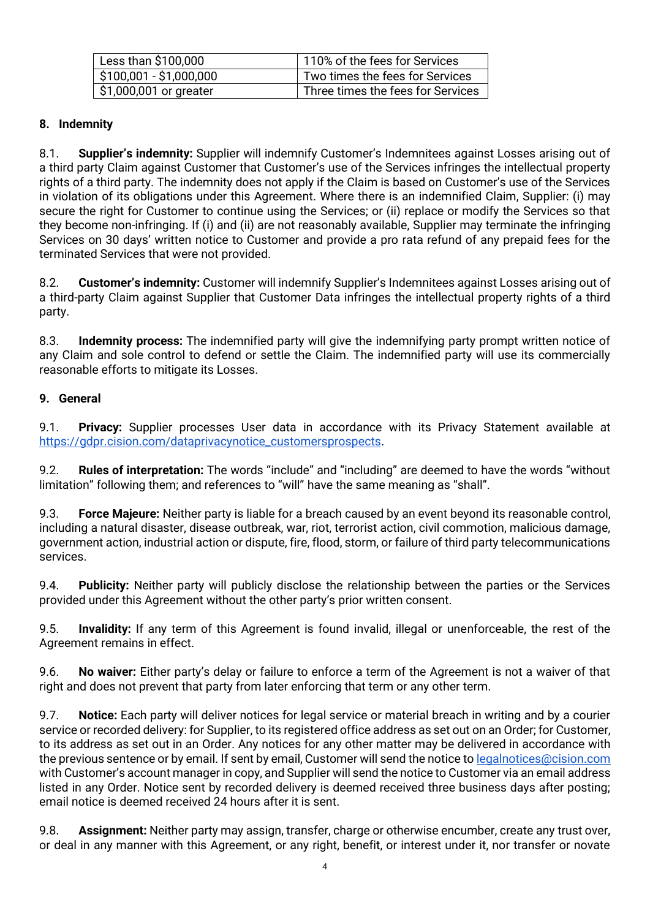| Less than \$100,000     | 110% of the fees for Services     |  |
|-------------------------|-----------------------------------|--|
| $$100,001 - $1,000,000$ | Two times the fees for Services   |  |
| \$1,000,001 or greater  | Three times the fees for Services |  |

## **8. Indemnity**

8.1. **Supplier's indemnity:** Supplier will indemnify Customer's Indemnitees against Losses arising out of a third party Claim against Customer that Customer's use of the Services infringes the intellectual property rights of a third party. The indemnity does not apply if the Claim is based on Customer's use of the Services in violation of its obligations under this Agreement. Where there is an indemnified Claim, Supplier: (i) may secure the right for Customer to continue using the Services; or (ii) replace or modify the Services so that they become non-infringing. If (i) and (ii) are not reasonably available, Supplier may terminate the infringing Services on 30 days' written notice to Customer and provide a pro rata refund of any prepaid fees for the terminated Services that were not provided.

8.2. **Customer's indemnity:** Customer will indemnify Supplier's Indemnitees against Losses arising out of a third-party Claim against Supplier that Customer Data infringes the intellectual property rights of a third party.

8.3. **Indemnity process:** The indemnified party will give the indemnifying party prompt written notice of any Claim and sole control to defend or settle the Claim. The indemnified party will use its commercially reasonable efforts to mitigate its Losses.

## **9. General**

9.1. **Privacy:** Supplier processes User data in accordance with its Privacy Statement available at [https://gdpr.cision.com/dataprivacynotice\\_customersprospects.](https://gdpr.cision.com/dataprivacynotice_customersprospects)

9.2. **Rules of interpretation:** The words "include" and "including" are deemed to have the words "without limitation" following them; and references to "will" have the same meaning as "shall".

9.3. **Force Majeure:** Neither party is liable for a breach caused by an event beyond its reasonable control, including a natural disaster, disease outbreak, war, riot, terrorist action, civil commotion, malicious damage, government action, industrial action or dispute, fire, flood, storm, or failure of third party telecommunications services.

9.4. **Publicity:** Neither party will publicly disclose the relationship between the parties or the Services provided under this Agreement without the other party's prior written consent.

9.5. **Invalidity:** If any term of this Agreement is found invalid, illegal or unenforceable, the rest of the Agreement remains in effect.

9.6. **No waiver:** Either party's delay or failure to enforce a term of the Agreement is not a waiver of that right and does not prevent that party from later enforcing that term or any other term.

9.7. **Notice:** Each party will deliver notices for legal service or material breach in writing and by a courier service or recorded delivery: for Supplier, to its registered office address as set out on an Order; for Customer, to its address as set out in an Order. Any notices for any other matter may be delivered in accordance with the previous sentence or by email. If sent by email, Customer will send the notice t[o legalnotices@cision.com](mailto:legalnotices@cision.com) with Customer's account manager in copy, and Supplier will send the notice to Customer via an email address listed in any Order. Notice sent by recorded delivery is deemed received three business days after posting; email notice is deemed received 24 hours after it is sent.

9.8. **Assignment:** Neither party may assign, transfer, charge or otherwise encumber, create any trust over, or deal in any manner with this Agreement, or any right, benefit, or interest under it, nor transfer or novate